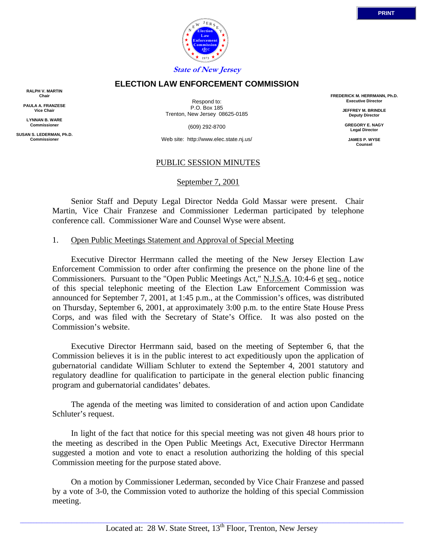

## **ELECTION LAW ENFORCEMENT COMMISSION**

**RALPH V. MARTIN Chair**

**PAULA A. FRANZESE Vice Chair**

**LYNNAN B. WARE Commissioner**

**SUSAN S. LEDERMAN, Ph.D. Commissioner**

Respond to: P.O. Box 185 Trenton, New Jersey 08625-0185

(609) 292-8700

Web site: http://www.elec.state.nj.us/

### PUBLIC SESSION MINUTES

September 7, 2001

 Senior Staff and Deputy Legal Director Nedda Gold Massar were present. Chair Martin, Vice Chair Franzese and Commissioner Lederman participated by telephone conference call. Commissioner Ware and Counsel Wyse were absent.

#### 1. Open Public Meetings Statement and Approval of Special Meeting

 Executive Director Herrmann called the meeting of the New Jersey Election Law Enforcement Commission to order after confirming the presence on the phone line of the Commissioners. Pursuant to the "Open Public Meetings Act," N.J.S.A. 10:4-6 et seq., notice of this special telephonic meeting of the Election Law Enforcement Commission was announced for September 7, 2001, at 1:45 p.m., at the Commission's offices, was distributed on Thursday, September 6, 2001, at approximately 3:00 p.m. to the entire State House Press Corps, and was filed with the Secretary of State's Office. It was also posted on the Commission's website.

 Executive Director Herrmann said, based on the meeting of September 6, that the Commission believes it is in the public interest to act expeditiously upon the application of gubernatorial candidate William Schluter to extend the September 4, 2001 statutory and regulatory deadline for qualification to participate in the general election public financing program and gubernatorial candidates' debates.

 The agenda of the meeting was limited to consideration of and action upon Candidate Schluter's request.

 In light of the fact that notice for this special meeting was not given 48 hours prior to the meeting as described in the Open Public Meetings Act, Executive Director Herrmann suggested a motion and vote to enact a resolution authorizing the holding of this special Commission meeting for the purpose stated above.

 On a motion by Commissioner Lederman, seconded by Vice Chair Franzese and passed by a vote of 3-0, the Commission voted to authorize the holding of this special Commission meeting.

**Executive Director JEFFREY M. BRINDLE Deputy Director**

**FREDERICK M. HERRMANN, Ph.D.**

**GREGORY E. NAGY Legal Director**

**JAMES P. WYSE Counsel**